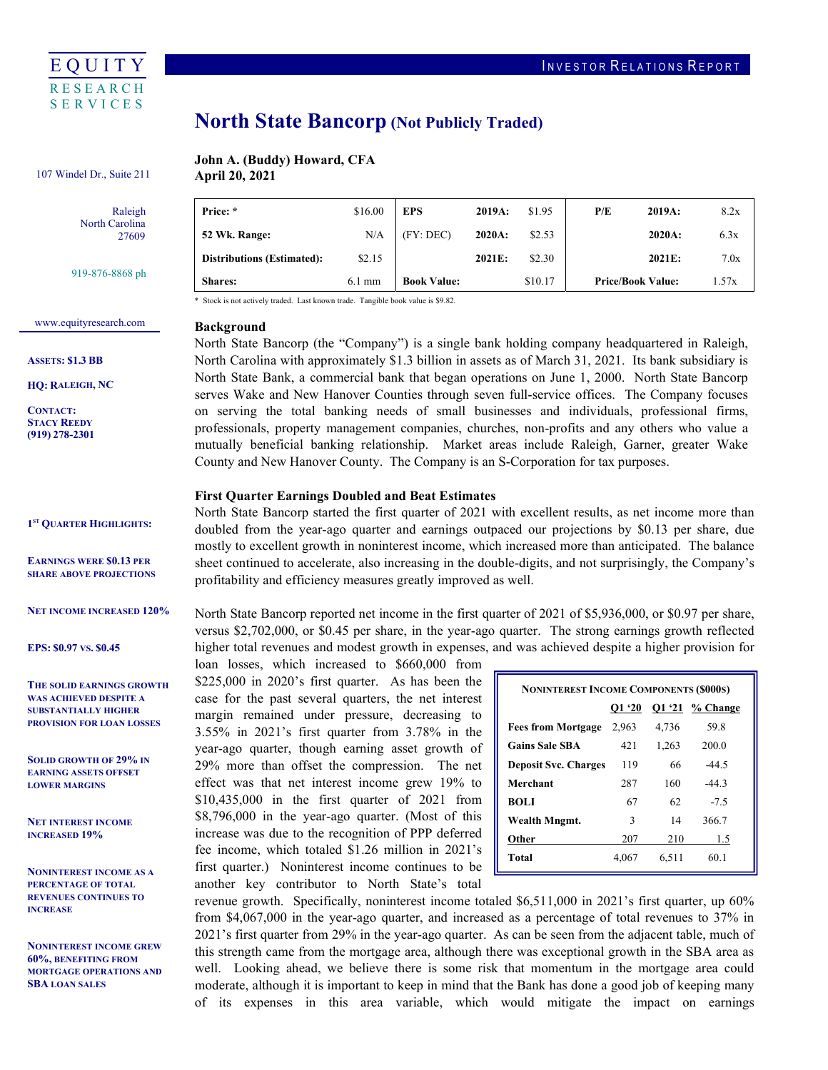

# North State Bancorp (Not Publicly Traded)

#### John A. (Buddy) Howard, CFA April 20, 2021 107 Windel Dr., Suite 211

Raleigh North Carolina 27609

919-876-8868 ph

| <b>Shares:</b>                    | $6.1 \text{ mm}$ | <b>Book Value:</b> |        | \$10.17 | <b>Price/Book Value:</b> | 1.57x |
|-----------------------------------|------------------|--------------------|--------|---------|--------------------------|-------|
| <b>Distributions (Estimated):</b> | \$2.15           |                    | 2021E: | \$2.30  | 2021E:                   | 7.0x  |
| 52 Wk. Range:                     | N/A              | (FY:DEC)           | 2020A: | \$2.53  | 2020A:                   | 6.3x  |
| Price: *                          | \$16.00          | <b>EPS</b>         | 2019A: | \$1.95  | P/E<br>2019A:            | 8.2x  |

## <www.equityresearch.com>

ASSETS: \$1.3 BB

HQ: RALEIGH, NC

CONTACT: STACY REEDY (919) 278-2301

1<sup>ST</sup> QUARTER HIGHLIGHTS:

 EARNINGS WERE \$0.13 PER SHARE ABOVE PROJECTIONS

NET INCOME INCREASED 120%

EPS: \$0.97 VS. \$0.45

 THE SOLID EARNINGS GROWTH WAS ACHIEVED DESPITE A SUBSTANTIALLY HIGHER PROVISION FOR LOAN LOSSES

 SOLID GROWTH OF 29% IN EARNING ASSETS OFFSET LOWER MARGINS

 NET INTEREST INCOME INCREASED 19%

 NONINTEREST INCOME AS A PERCENTAGE OF TOTAL REVENUES CONTINUES TO **INCREASE** 

 NONINTEREST INCOME GREW 60%, BENEFITING FROM MORTGAGE OPERATIONS AND SBA LOAN SALES

| 52 Wk. Range:                                                                    | N/A              | (FY:DEC)           | 2020A: | \$2.53  | $2020A$ :                | 6.3x  |
|----------------------------------------------------------------------------------|------------------|--------------------|--------|---------|--------------------------|-------|
| <b>Distributions (Estimated):</b>                                                | \$2.15           |                    | 2021E: | \$2.30  | 2021E:                   | 7.0x  |
| <b>Shares:</b>                                                                   | $6.1 \text{ mm}$ | <b>Book Value:</b> |        | \$10.17 | <b>Price/Book Value:</b> | 1.57x |
| * Stock is not actively traded. Last known trade. Tangible book value is \$9.82. |                  |                    |        |         |                          |       |

#### Background

 North State Bancorp (the "Company") is a single bank holding company headquartered in Raleigh, North Carolina with approximately \$1.3 billion in assets as of March 31, 2021. Its bank subsidiary is North State Bank, a commercial bank that began operations on June 1, 2000. North State Bancorp serves Wake and New Hanover Counties through seven full-service offices. The Company focuses on serving the total banking needs of small businesses and individuals, professional firms, professionals, property management companies, churches, non-profits and any others who value a mutually beneficial banking relationship. Market areas include Raleigh, Garner, greater Wake County and New Hanover County. The Company is an S-Corporation for tax purposes.

#### First Quarter Earnings Doubled and Beat Estimates

 North State Bancorp started the first quarter of 2021 with excellent results, as net income more than doubled from the year-ago quarter and earnings outpaced our projections by \$0.13 per share, due mostly to excellent growth in noninterest income, which increased more than anticipated. The balance sheet continued to accelerate, also increasing in the double-digits, and not surprisingly, the Company's profitability and efficiency measures greatly improved as well.

 North State Bancorp reported net income in the first quarter of 2021 of \$5,936,000, or \$0.97 per share, versus \$2,702,000, or \$0.45 per share, in the year-ago quarter. The strong earnings growth reflected higher total revenues and modest growth in expenses, and was achieved despite a higher provision for

 loan losses, which increased to \$660,000 from \$225,000 in 2020's first quarter. As has been the case for the past several quarters, the net interest margin remained under pressure, decreasing to 3.55% in 2021's first quarter from 3.78% in the year-ago quarter, though earning asset growth of 29% more than offset the compression. The net effect was that net interest income grew 19% to \$10,435,000 in the first quarter of 2021 from \$8,796,000 in the year-ago quarter. (Most of this increase was due to the recognition of PPP deferred fee income, which totaled \$1.26 million in 2021's first quarter.) Noninterest income continues to be another key contributor to North State's total

| <b>NONINTEREST INCOME COMPONENTS (\$000S)</b> |        |       |                  |  |
|-----------------------------------------------|--------|-------|------------------|--|
|                                               | O1 '20 |       | $Q1'21$ % Change |  |
| <b>Fees from Mortgage</b>                     | 2,963  | 4,736 | 59.8             |  |
| <b>Gains Sale SBA</b>                         | 421    | 1,263 | 200.0            |  |
| <b>Deposit Svc. Charges</b>                   | 119    | 66    | $-44.5$          |  |
| Merchant                                      | 287    | 160   | $-44.3$          |  |
| <b>BOLI</b>                                   | 67     | 62    | $-7.5$           |  |
| Wealth Mngmt.                                 | 3      | 14    | 366.7            |  |
| Other                                         | 207    | 210   | 1.5              |  |
| Total                                         | 4.067  | 6.511 | 60.1             |  |

 revenue growth. Specifically, noninterest income totaled \$6,511,000 in 2021's first quarter, up 60% from \$4,067,000 in the year-ago quarter, and increased as a percentage of total revenues to 37% in 2021's first quarter from 29% in the year-ago quarter. As can be seen from the adjacent table, much of this strength came from the mortgage area, although there was exceptional growth in the SBA area as well. Looking ahead, we believe there is some risk that momentum in the mortgage area could moderate, although it is important to keep in mind that the Bank has done a good job of keeping many of its expenses in this area variable, which would mitigate the impact on earnings